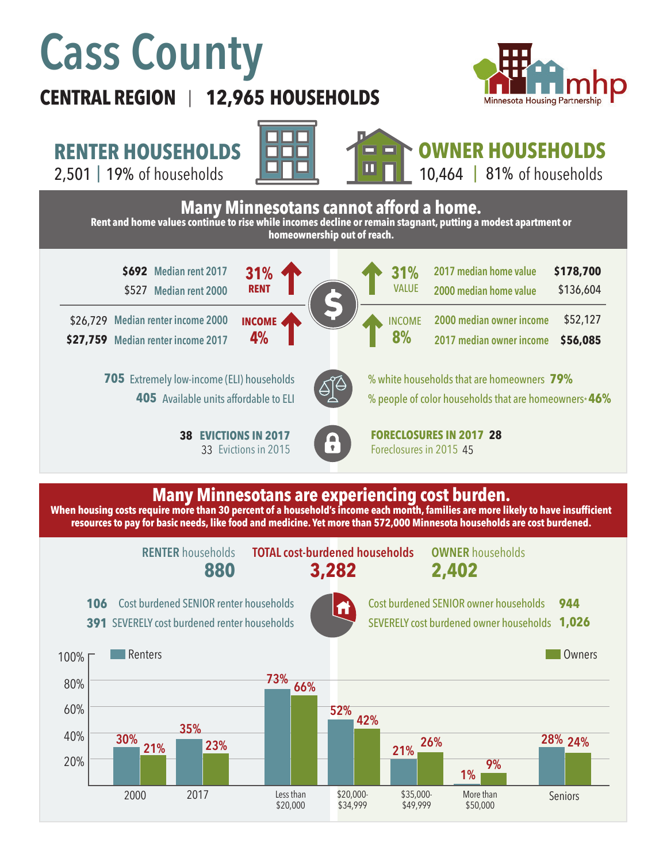# **Cass County**

## **CENTRAL REGION 12,965 HOUSEHOLDS**  |













### **Many Minnesotans are experiencing cost burden.**

**When housing costs require more than 30 percent of a household's income each month, families are more likely to have insufficient resources to pay for basic needs, like food and medicine. Yet more than 572,000 Minnesota households are cost burdened.**